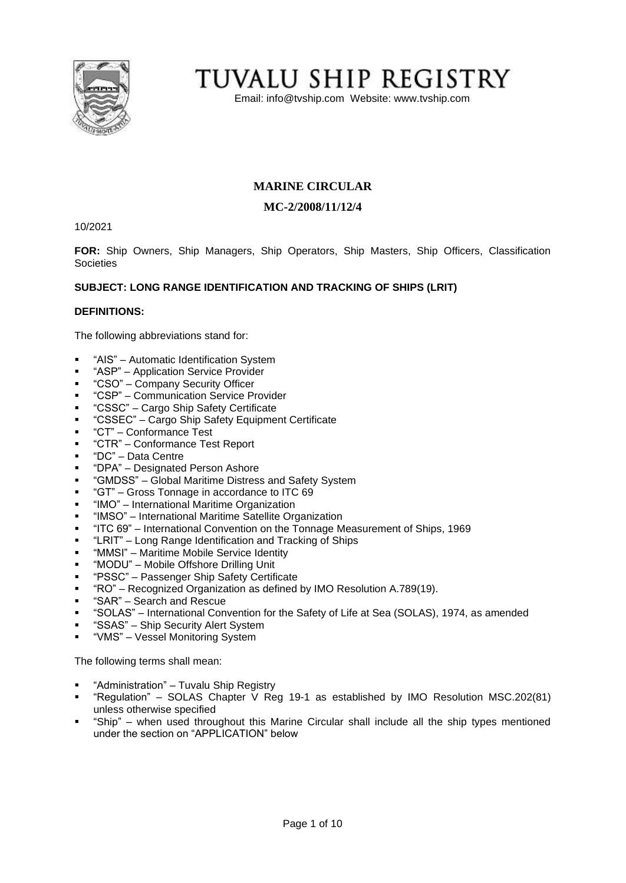

# TUVALU SHIP REGISTRY

Email: [info@tvship.com](mailto:info@tvship.com) Website: [www.tvship.com](http://www.tvship.com/)

# **MARINE CIRCULAR**

## **MC-2/2008/11/12/4**

10/2021

**FOR:** Ship Owners, Ship Managers, Ship Operators, Ship Masters, Ship Officers, Classification **Societies** 

## **SUBJECT: LONG RANGE IDENTIFICATION AND TRACKING OF SHIPS (LRIT)**

## **DEFINITIONS:**

The following abbreviations stand for:

- "AIS" Automatic Identification System
- "ASP" Application Service Provider
- "CSO" Company Security Officer
- "CSP" Communication Service Provider
- "CSSC" Cargo Ship Safety Certificate
- "CSSEC" Cargo Ship Safety Equipment Certificate
- "CT" Conformance Test
- "CTR" Conformance Test Report
- "DC" Data Centre
- "DPA" Designated Person Ashore
- "GMDSS" Global Maritime Distress and Safety System
- "GT" Gross Tonnage in accordance to ITC 69
- "IMO" International Maritime Organization
- "IMSO" International Maritime Satellite Organization
- "ITC 69" International Convention on the Tonnage Measurement of Ships, 1969
- "LRIT" Long Range Identification and Tracking of Ships
- "MMSI" Maritime Mobile Service Identity
- "MODU" Mobile Offshore Drilling Unit
- "PSSC" Passenger Ship Safety Certificate
- "RO" Recognized Organization as defined by IMO Resolution A.789(19).
- "SAR" Search and Rescue
- "SOLAS" International Convention for the Safety of Life at Sea (SOLAS), 1974, as amended
- "SSAS" Ship Security Alert System
- "VMS" Vessel Monitoring System

The following terms shall mean:

- "Administration" Tuvalu Ship Registry
- "Regulation" SOLAS Chapter V Reg 19-1 as established by IMO Resolution MSC.202(81) unless otherwise specified
- "Ship" when used throughout this Marine Circular shall include all the ship types mentioned under the section on "APPLICATION" below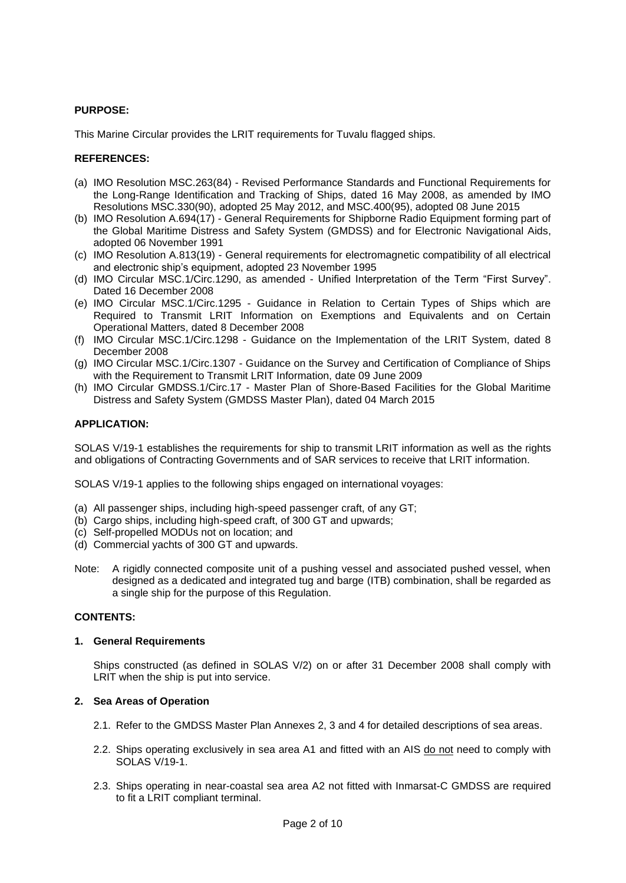#### **PURPOSE:**

This Marine Circular provides the LRIT requirements for Tuvalu flagged ships.

#### **REFERENCES:**

- (a) IMO Resolution MSC.263(84) Revised Performance Standards and Functional Requirements for the Long-Range Identification and Tracking of Ships, dated 16 May 2008, as amended by IMO Resolutions MSC.330(90), adopted 25 May 2012, and MSC.400(95), adopted 08 June 2015
- (b) IMO Resolution A.694(17) General Requirements for Shipborne Radio Equipment forming part of the Global Maritime Distress and Safety System (GMDSS) and for Electronic Navigational Aids, adopted 06 November 1991
- (c) IMO Resolution A.813(19) General requirements for electromagnetic compatibility of all electrical and electronic ship's equipment, adopted 23 November 1995
- (d) IMO Circular MSC.1/Circ.1290, as amended Unified Interpretation of the Term "First Survey". Dated 16 December 2008
- (e) IMO Circular MSC.1/Circ.1295 Guidance in Relation to Certain Types of Ships which are Required to Transmit LRIT Information on Exemptions and Equivalents and on Certain Operational Matters, dated 8 December 2008
- (f) IMO Circular MSC.1/Circ.1298 Guidance on the Implementation of the LRIT System, dated 8 December 2008
- (g) IMO Circular MSC.1/Circ.1307 Guidance on the Survey and Certification of Compliance of Ships with the Requirement to Transmit LRIT Information, date 09 June 2009
- (h) IMO Circular GMDSS.1/Circ.17 Master Plan of Shore-Based Facilities for the Global Maritime Distress and Safety System (GMDSS Master Plan), dated 04 March 2015

#### **APPLICATION:**

SOLAS V/19-1 establishes the requirements for ship to transmit LRIT information as well as the rights and obligations of Contracting Governments and of SAR services to receive that LRIT information.

SOLAS V/19-1 applies to the following ships engaged on international voyages:

- (a) All passenger ships, including high-speed passenger craft, of any GT;
- (b) Cargo ships, including high-speed craft, of 300 GT and upwards;
- (c) Self-propelled MODUs not on location; and
- (d) Commercial yachts of 300 GT and upwards.
- Note: A rigidly connected composite unit of a pushing vessel and associated pushed vessel, when designed as a dedicated and integrated tug and barge (ITB) combination, shall be regarded as a single ship for the purpose of this Regulation.

## **CONTENTS:**

#### **1. General Requirements**

Ships constructed (as defined in SOLAS V/2) on or after 31 December 2008 shall comply with LRIT when the ship is put into service.

## **2. Sea Areas of Operation**

- 2.1. Refer to the GMDSS Master Plan Annexes 2, 3 and 4 for detailed descriptions of sea areas.
- 2.2. Ships operating exclusively in sea area A1 and fitted with an AIS do not need to comply with SOLAS V/19-1.
- 2.3. Ships operating in near-coastal sea area A2 not fitted with Inmarsat-C GMDSS are required to fit a LRIT compliant terminal.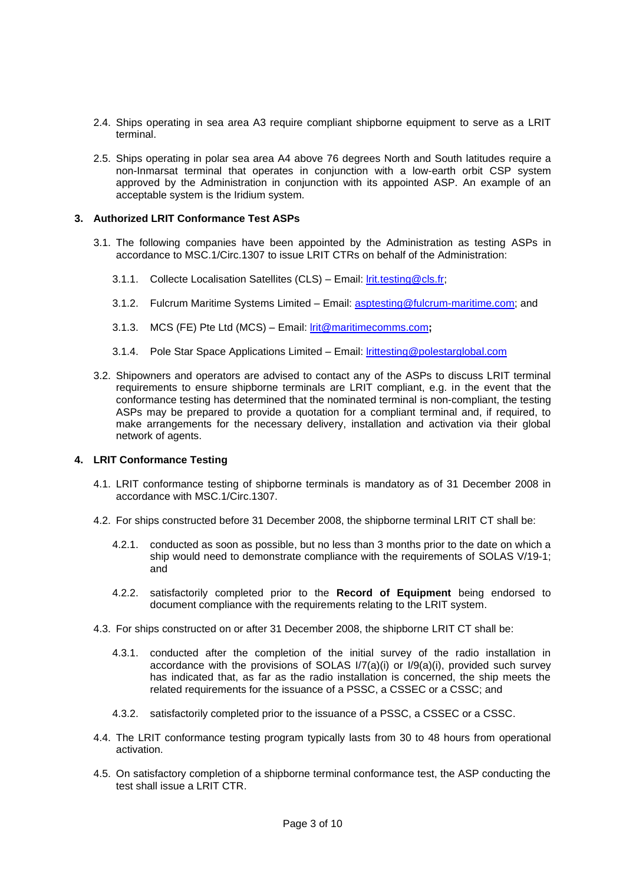- 2.4. Ships operating in sea area A3 require compliant shipborne equipment to serve as a LRIT terminal.
- 2.5. Ships operating in polar sea area A4 above 76 degrees North and South latitudes require a non-Inmarsat terminal that operates in conjunction with a low-earth orbit CSP system approved by the Administration in conjunction with its appointed ASP. An example of an acceptable system is the Iridium system.

#### **3. Authorized LRIT Conformance Test ASPs**

- 3.1. The following companies have been appointed by the Administration as testing ASPs in accordance to MSC.1/Circ.1307 to issue LRIT CTRs on behalf of the Administration:
	- 3.1.1. Collecte Localisation Satellites (CLS) Email: *Irit.testing@cls.fr*;
	- 3.1.2. Fulcrum Maritime Systems Limited Email: [asptesting@fulcrum-maritime.com;](mailto:asptesting@fulcrum-maritime.com) and
	- 3.1.3. MCS (FE) Pte Ltd (MCS) Email: [lrit@maritimecomms.com](mailto:lrit@maritimecomms.com)**;**
	- 3.1.4. Pole Star Space Applications Limited Email: [lrittesting@polestarglobal.com](mailto:lrittesting@polestarglobal.com)
- 3.2. Shipowners and operators are advised to contact any of the ASPs to discuss LRIT terminal requirements to ensure shipborne terminals are LRIT compliant, e.g. in the event that the conformance testing has determined that the nominated terminal is non-compliant, the testing ASPs may be prepared to provide a quotation for a compliant terminal and, if required, to make arrangements for the necessary delivery, installation and activation via their global network of agents.

#### **4. LRIT Conformance Testing**

- 4.1. LRIT conformance testing of shipborne terminals is mandatory as of 31 December 2008 in accordance with MSC.1/Circ.1307.
- 4.2. For ships constructed before 31 December 2008, the shipborne terminal LRIT CT shall be:
	- 4.2.1. conducted as soon as possible, but no less than 3 months prior to the date on which a ship would need to demonstrate compliance with the requirements of SOLAS V/19-1; and
	- 4.2.2. satisfactorily completed prior to the **Record of Equipment** being endorsed to document compliance with the requirements relating to the LRIT system.
- 4.3. For ships constructed on or after 31 December 2008, the shipborne LRIT CT shall be:
	- 4.3.1. conducted after the completion of the initial survey of the radio installation in accordance with the provisions of SOLAS I/7(a)(i) or I/9(a)(i), provided such survey has indicated that, as far as the radio installation is concerned, the ship meets the related requirements for the issuance of a PSSC, a CSSEC or a CSSC; and
	- 4.3.2. satisfactorily completed prior to the issuance of a PSSC, a CSSEC or a CSSC.
- 4.4. The LRIT conformance testing program typically lasts from 30 to 48 hours from operational activation.
- 4.5. On satisfactory completion of a shipborne terminal conformance test, the ASP conducting the test shall issue a LRIT CTR.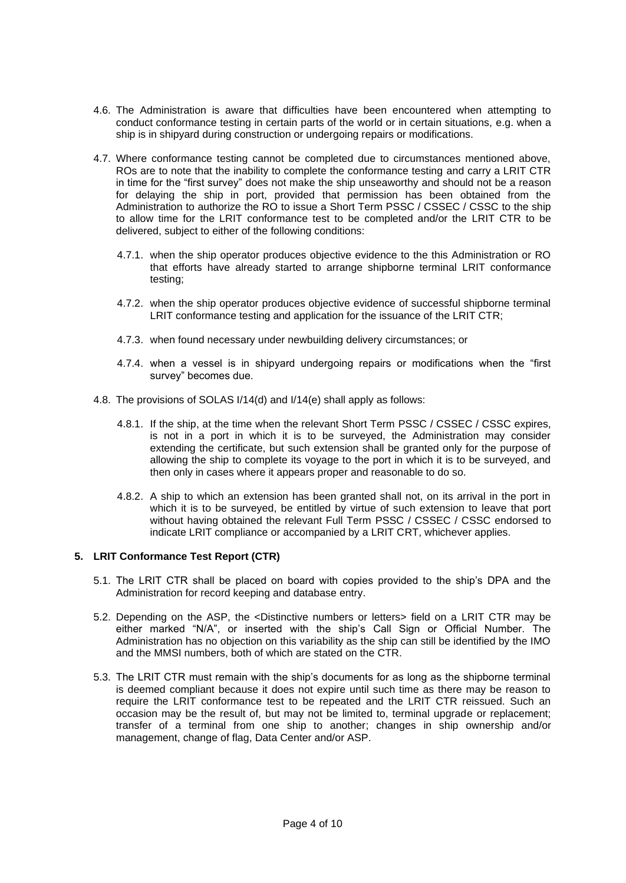- 4.6. The Administration is aware that difficulties have been encountered when attempting to conduct conformance testing in certain parts of the world or in certain situations, e.g. when a ship is in shipyard during construction or undergoing repairs or modifications.
- 4.7. Where conformance testing cannot be completed due to circumstances mentioned above, ROs are to note that the inability to complete the conformance testing and carry a LRIT CTR in time for the "first survey" does not make the ship unseaworthy and should not be a reason for delaying the ship in port, provided that permission has been obtained from the Administration to authorize the RO to issue a Short Term PSSC / CSSEC / CSSC to the ship to allow time for the LRIT conformance test to be completed and/or the LRIT CTR to be delivered, subject to either of the following conditions:
	- 4.7.1. when the ship operator produces objective evidence to the this Administration or RO that efforts have already started to arrange shipborne terminal LRIT conformance testing;
	- 4.7.2. when the ship operator produces objective evidence of successful shipborne terminal LRIT conformance testing and application for the issuance of the LRIT CTR;
	- 4.7.3. when found necessary under newbuilding delivery circumstances; or
	- 4.7.4. when a vessel is in shipyard undergoing repairs or modifications when the "first survey" becomes due.
- 4.8. The provisions of SOLAS I/14(d) and I/14(e) shall apply as follows:
	- 4.8.1. If the ship, at the time when the relevant Short Term PSSC / CSSEC / CSSC expires, is not in a port in which it is to be surveyed, the Administration may consider extending the certificate, but such extension shall be granted only for the purpose of allowing the ship to complete its voyage to the port in which it is to be surveyed, and then only in cases where it appears proper and reasonable to do so.
	- 4.8.2. A ship to which an extension has been granted shall not, on its arrival in the port in which it is to be surveyed, be entitled by virtue of such extension to leave that port without having obtained the relevant Full Term PSSC / CSSEC / CSSC endorsed to indicate LRIT compliance or accompanied by a LRIT CRT, whichever applies.

#### **5. LRIT Conformance Test Report (CTR)**

- 5.1. The LRIT CTR shall be placed on board with copies provided to the ship's DPA and the Administration for record keeping and database entry.
- 5.2. Depending on the ASP, the <Distinctive numbers or letters> field on a LRIT CTR may be either marked "N/A", or inserted with the ship's Call Sign or Official Number. The Administration has no objection on this variability as the ship can still be identified by the IMO and the MMSI numbers, both of which are stated on the CTR.
- 5.3. The LRIT CTR must remain with the ship's documents for as long as the shipborne terminal is deemed compliant because it does not expire until such time as there may be reason to require the LRIT conformance test to be repeated and the LRIT CTR reissued. Such an occasion may be the result of, but may not be limited to, terminal upgrade or replacement; transfer of a terminal from one ship to another; changes in ship ownership and/or management, change of flag, Data Center and/or ASP.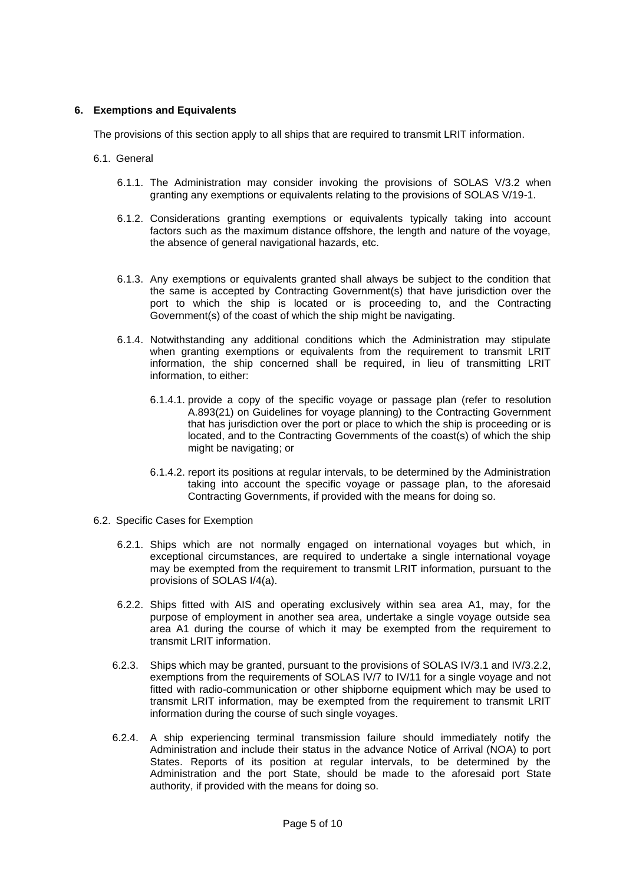#### **6. Exemptions and Equivalents**

The provisions of this section apply to all ships that are required to transmit LRIT information.

- 6.1. General
	- 6.1.1. The Administration may consider invoking the provisions of SOLAS V/3.2 when granting any exemptions or equivalents relating to the provisions of SOLAS V/19-1.
	- 6.1.2. Considerations granting exemptions or equivalents typically taking into account factors such as the maximum distance offshore, the length and nature of the voyage, the absence of general navigational hazards, etc.
	- 6.1.3. Any exemptions or equivalents granted shall always be subject to the condition that the same is accepted by Contracting Government(s) that have jurisdiction over the port to which the ship is located or is proceeding to, and the Contracting Government(s) of the coast of which the ship might be navigating.
	- 6.1.4. Notwithstanding any additional conditions which the Administration may stipulate when granting exemptions or equivalents from the requirement to transmit LRIT information, the ship concerned shall be required, in lieu of transmitting LRIT information, to either:
		- 6.1.4.1. provide a copy of the specific voyage or passage plan (refer to resolution A.893(21) on Guidelines for voyage planning) to the Contracting Government that has jurisdiction over the port or place to which the ship is proceeding or is located, and to the Contracting Governments of the coast(s) of which the ship might be navigating; or
		- 6.1.4.2. report its positions at regular intervals, to be determined by the Administration taking into account the specific voyage or passage plan, to the aforesaid Contracting Governments, if provided with the means for doing so.
- 6.2. Specific Cases for Exemption
	- 6.2.1. Ships which are not normally engaged on international voyages but which, in exceptional circumstances, are required to undertake a single international voyage may be exempted from the requirement to transmit LRIT information, pursuant to the provisions of SOLAS I/4(a).
	- 6.2.2. Ships fitted with AIS and operating exclusively within sea area A1, may, for the purpose of employment in another sea area, undertake a single voyage outside sea area A1 during the course of which it may be exempted from the requirement to transmit LRIT information.
	- 6.2.3. Ships which may be granted, pursuant to the provisions of SOLAS IV/3.1 and IV/3.2.2, exemptions from the requirements of SOLAS IV/7 to IV/11 for a single voyage and not fitted with radio-communication or other shipborne equipment which may be used to transmit LRIT information, may be exempted from the requirement to transmit LRIT information during the course of such single voyages.
	- 6.2.4. A ship experiencing terminal transmission failure should immediately notify the Administration and include their status in the advance Notice of Arrival (NOA) to port States. Reports of its position at regular intervals, to be determined by the Administration and the port State, should be made to the aforesaid port State authority, if provided with the means for doing so.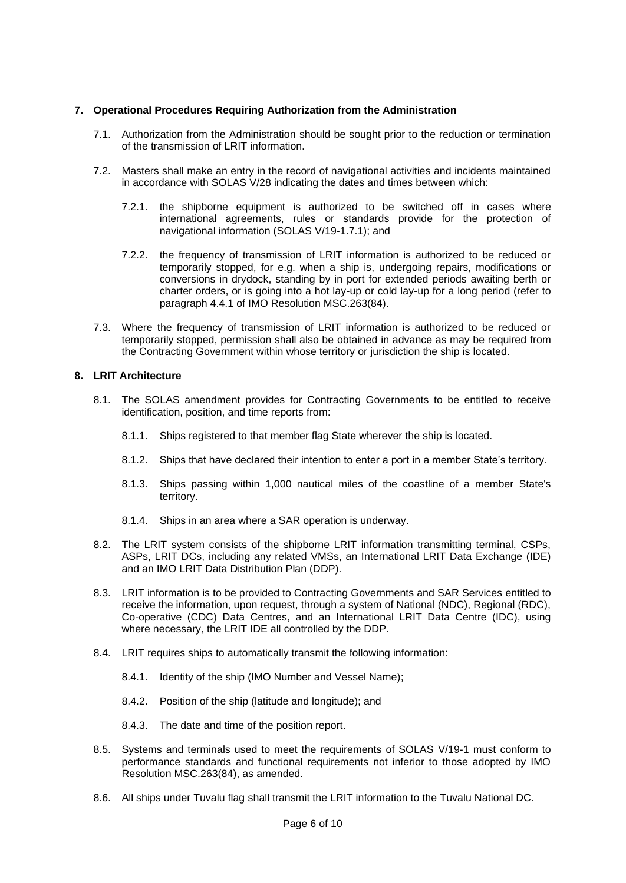#### **7. Operational Procedures Requiring Authorization from the Administration**

- 7.1. Authorization from the Administration should be sought prior to the reduction or termination of the transmission of LRIT information.
- 7.2. Masters shall make an entry in the record of navigational activities and incidents maintained in accordance with SOLAS V/28 indicating the dates and times between which:
	- 7.2.1. the shipborne equipment is authorized to be switched off in cases where international agreements, rules or standards provide for the protection of navigational information (SOLAS V/19-1.7.1); and
	- 7.2.2. the frequency of transmission of LRIT information is authorized to be reduced or temporarily stopped, for e.g. when a ship is, undergoing repairs, modifications or conversions in drydock, standing by in port for extended periods awaiting berth or charter orders, or is going into a hot lay-up or cold lay-up for a long period (refer to paragraph 4.4.1 of IMO Resolution MSC.263(84).
- 7.3. Where the frequency of transmission of LRIT information is authorized to be reduced or temporarily stopped, permission shall also be obtained in advance as may be required from the Contracting Government within whose territory or jurisdiction the ship is located.

#### **8. LRIT Architecture**

- 8.1. The SOLAS amendment provides for Contracting Governments to be entitled to receive identification, position, and time reports from:
	- 8.1.1. Ships registered to that member flag State wherever the ship is located.
	- 8.1.2. Ships that have declared their intention to enter a port in a member State's territory.
	- 8.1.3. Ships passing within 1,000 nautical miles of the coastline of a member State's territory.
	- 8.1.4. Ships in an area where a SAR operation is underway.
- 8.2. The LRIT system consists of the shipborne LRIT information transmitting terminal, CSPs, ASPs, LRIT DCs, including any related VMSs, an International LRIT Data Exchange (IDE) and an IMO LRIT Data Distribution Plan (DDP).
- 8.3. LRIT information is to be provided to Contracting Governments and SAR Services entitled to receive the information, upon request, through a system of National (NDC), Regional (RDC), Co-operative (CDC) Data Centres, and an International LRIT Data Centre (IDC), using where necessary, the LRIT IDE all controlled by the DDP.
- 8.4. LRIT requires ships to automatically transmit the following information:
	- 8.4.1. Identity of the ship (IMO Number and Vessel Name);
	- 8.4.2. Position of the ship (latitude and longitude); and
	- 8.4.3. The date and time of the position report.
- 8.5. Systems and terminals used to meet the requirements of SOLAS V/19-1 must conform to performance standards and functional requirements not inferior to those adopted by IMO Resolution MSC.263(84), as amended.
- 8.6. All ships under Tuvalu flag shall transmit the LRIT information to the Tuvalu National DC.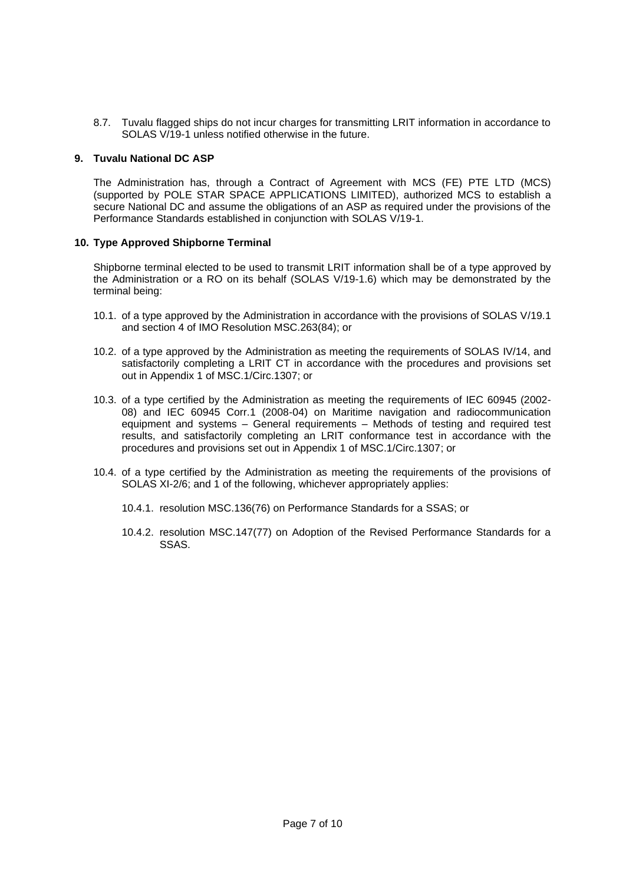8.7. Tuvalu flagged ships do not incur charges for transmitting LRIT information in accordance to SOLAS V/19-1 unless notified otherwise in the future.

## **9. Tuvalu National DC ASP**

The Administration has, through a Contract of Agreement with MCS (FE) PTE LTD (MCS) (supported by POLE STAR SPACE APPLICATIONS LIMITED), authorized MCS to establish a secure National DC and assume the obligations of an ASP as required under the provisions of the Performance Standards established in conjunction with SOLAS V/19-1.

#### **10. Type Approved Shipborne Terminal**

Shipborne terminal elected to be used to transmit LRIT information shall be of a type approved by the Administration or a RO on its behalf (SOLAS V/19-1.6) which may be demonstrated by the terminal being:

- 10.1. of a type approved by the Administration in accordance with the provisions of SOLAS V/19.1 and section 4 of IMO Resolution MSC.263(84); or
- 10.2. of a type approved by the Administration as meeting the requirements of SOLAS IV/14, and satisfactorily completing a LRIT CT in accordance with the procedures and provisions set out in Appendix 1 of MSC.1/Circ.1307; or
- 10.3. of a type certified by the Administration as meeting the requirements of IEC 60945 (2002- 08) and IEC 60945 Corr.1 (2008-04) on Maritime navigation and radiocommunication equipment and systems – General requirements – Methods of testing and required test results, and satisfactorily completing an LRIT conformance test in accordance with the procedures and provisions set out in Appendix 1 of MSC.1/Circ.1307; or
- 10.4. of a type certified by the Administration as meeting the requirements of the provisions of SOLAS XI-2/6; and 1 of the following, whichever appropriately applies:
	- 10.4.1. resolution MSC.136(76) on Performance Standards for a SSAS; or
	- 10.4.2. resolution MSC.147(77) on Adoption of the Revised Performance Standards for a SSAS.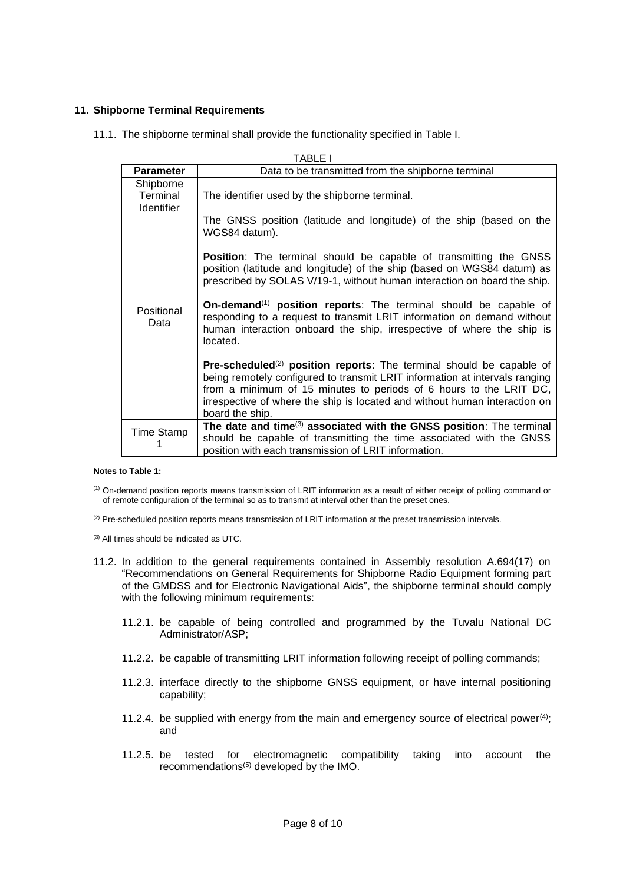#### **11. Shipborne Terminal Requirements**

11.1. The shipborne terminal shall provide the functionality specified in Table I.

| <b>TABLE I</b>                             |                                                                                                                                                                                                                                                                                                                                               |
|--------------------------------------------|-----------------------------------------------------------------------------------------------------------------------------------------------------------------------------------------------------------------------------------------------------------------------------------------------------------------------------------------------|
| <b>Parameter</b>                           | Data to be transmitted from the shipborne terminal                                                                                                                                                                                                                                                                                            |
| Shipborne<br>Terminal<br><b>Identifier</b> | The identifier used by the shipborne terminal.                                                                                                                                                                                                                                                                                                |
| Positional<br>Data                         | The GNSS position (latitude and longitude) of the ship (based on the<br>WGS84 datum).                                                                                                                                                                                                                                                         |
|                                            | <b>Position:</b> The terminal should be capable of transmitting the GNSS<br>position (latitude and longitude) of the ship (based on WGS84 datum) as<br>prescribed by SOLAS V/19-1, without human interaction on board the ship.                                                                                                               |
|                                            | On-demand <sup><math>(1)</math></sup> position reports: The terminal should be capable of<br>responding to a request to transmit LRIT information on demand without<br>human interaction onboard the ship, irrespective of where the ship is<br>located.                                                                                      |
|                                            | <b>Pre-scheduled</b> <sup>(2)</sup> position reports: The terminal should be capable of<br>being remotely configured to transmit LRIT information at intervals ranging<br>from a minimum of 15 minutes to periods of 6 hours to the LRIT DC,<br>irrespective of where the ship is located and without human interaction on<br>board the ship. |
| Time Stamp                                 | The date and time <sup>(3)</sup> associated with the GNSS position: The terminal<br>should be capable of transmitting the time associated with the GNSS<br>position with each transmission of LRIT information.                                                                                                                               |

#### **Notes to Table 1:**

(1) On-demand position reports means transmission of LRIT information as a result of either receipt of polling command or of remote configuration of the terminal so as to transmit at interval other than the preset ones.

<sup>(2)</sup> Pre-scheduled position reports means transmission of LRIT information at the preset transmission intervals.

(3) All times should be indicated as UTC.

- 11.2. In addition to the general requirements contained in Assembly resolution A.694(17) on "Recommendations on General Requirements for Shipborne Radio Equipment forming part of the GMDSS and for Electronic Navigational Aids", the shipborne terminal should comply with the following minimum requirements:
	- 11.2.1. be capable of being controlled and programmed by the Tuvalu National DC Administrator/ASP;
	- 11.2.2. be capable of transmitting LRIT information following receipt of polling commands;
	- 11.2.3. interface directly to the shipborne GNSS equipment, or have internal positioning capability;
	- 11.2.4. be supplied with energy from the main and emergency source of electrical power<sup>(4)</sup>; and
	- 11.2.5. be tested for electromagnetic compatibility taking into account the recommendations<sup>(5)</sup> developed by the IMO.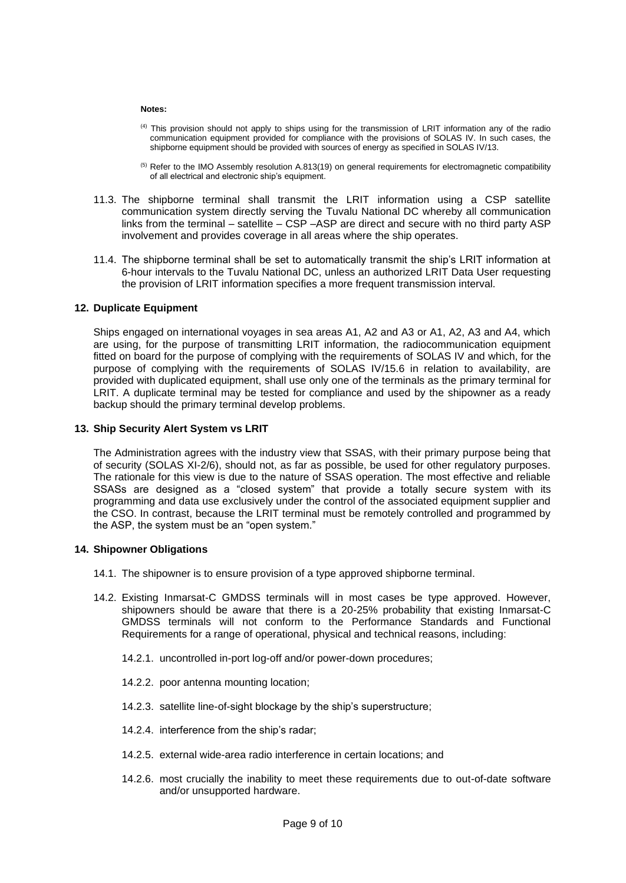#### **Notes:**

- (4) This provision should not apply to ships using for the transmission of LRIT information any of the radio communication equipment provided for compliance with the provisions of SOLAS IV. In such cases, the shipborne equipment should be provided with sources of energy as specified in SOLAS IV/13.
- (5) Refer to the IMO Assembly resolution A.813(19) on general requirements for electromagnetic compatibility of all electrical and electronic ship's equipment.
- 11.3. The shipborne terminal shall transmit the LRIT information using a CSP satellite communication system directly serving the Tuvalu National DC whereby all communication links from the terminal – satellite – CSP –ASP are direct and secure with no third party ASP involvement and provides coverage in all areas where the ship operates.
- 11.4. The shipborne terminal shall be set to automatically transmit the ship's LRIT information at 6-hour intervals to the Tuvalu National DC, unless an authorized LRIT Data User requesting the provision of LRIT information specifies a more frequent transmission interval.

#### **12. Duplicate Equipment**

Ships engaged on international voyages in sea areas A1, A2 and A3 or A1, A2, A3 and A4, which are using, for the purpose of transmitting LRIT information, the radiocommunication equipment fitted on board for the purpose of complying with the requirements of SOLAS IV and which, for the purpose of complying with the requirements of SOLAS IV/15.6 in relation to availability, are provided with duplicated equipment, shall use only one of the terminals as the primary terminal for LRIT. A duplicate terminal may be tested for compliance and used by the shipowner as a ready backup should the primary terminal develop problems.

#### **13. Ship Security Alert System vs LRIT**

The Administration agrees with the industry view that SSAS, with their primary purpose being that of security (SOLAS XI-2/6), should not, as far as possible, be used for other regulatory purposes. The rationale for this view is due to the nature of SSAS operation. The most effective and reliable SSASs are designed as a "closed system" that provide a totally secure system with its programming and data use exclusively under the control of the associated equipment supplier and the CSO. In contrast, because the LRIT terminal must be remotely controlled and programmed by the ASP, the system must be an "open system."

#### **14. Shipowner Obligations**

- 14.1. The shipowner is to ensure provision of a type approved shipborne terminal.
- 14.2. Existing Inmarsat-C GMDSS terminals will in most cases be type approved. However, shipowners should be aware that there is a 20-25% probability that existing Inmarsat-C GMDSS terminals will not conform to the Performance Standards and Functional Requirements for a range of operational, physical and technical reasons, including:
	- 14.2.1. uncontrolled in-port log-off and/or power-down procedures;
	- 14.2.2. poor antenna mounting location;
	- 14.2.3. satellite line-of-sight blockage by the ship's superstructure;
	- 14.2.4. interference from the ship's radar;
	- 14.2.5. external wide-area radio interference in certain locations; and
	- 14.2.6. most crucially the inability to meet these requirements due to out-of-date software and/or unsupported hardware.